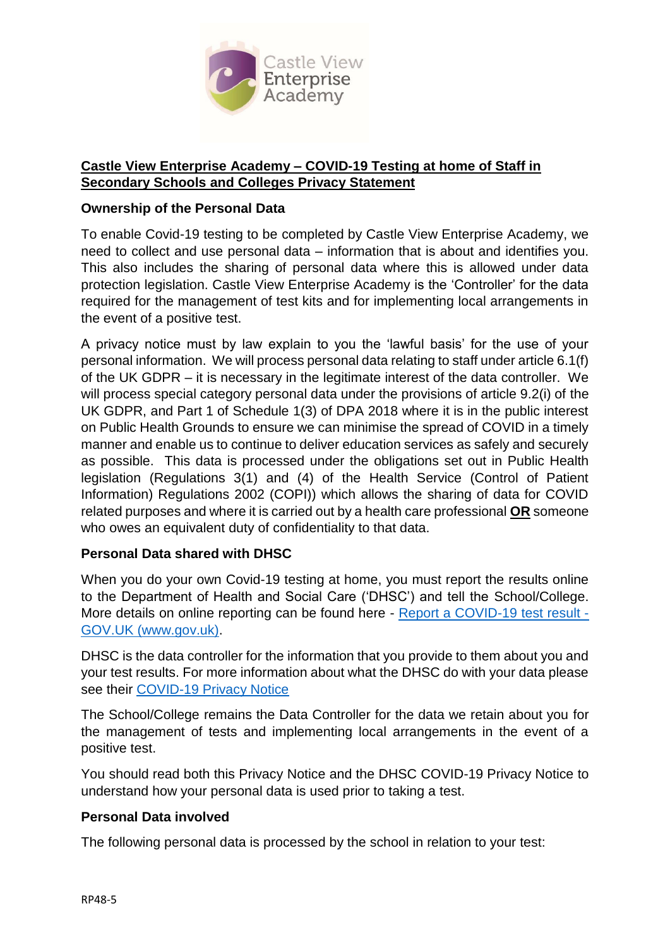

### **Castle View Enterprise Academy – COVID-19 Testing at home of Staff in Secondary Schools and Colleges Privacy Statement**

#### **Ownership of the Personal Data**

To enable Covid-19 testing to be completed by Castle View Enterprise Academy, we need to collect and use personal data – information that is about and identifies you. This also includes the sharing of personal data where this is allowed under data protection legislation. Castle View Enterprise Academy is the 'Controller' for the data required for the management of test kits and for implementing local arrangements in the event of a positive test.

A privacy notice must by law explain to you the 'lawful basis' for the use of your personal information. We will process personal data relating to staff under article 6.1(f) of the UK GDPR – it is necessary in the legitimate interest of the data controller. We will process special category personal data under the provisions of article 9.2(i) of the UK GDPR, and Part 1 of Schedule 1(3) of DPA 2018 where it is in the public interest on Public Health Grounds to ensure we can minimise the spread of COVID in a timely manner and enable us to continue to deliver education services as safely and securely as possible. This data is processed under the obligations set out in Public Health legislation (Regulations 3(1) and (4) of the Health Service (Control of Patient Information) Regulations 2002 (COPI)) which allows the sharing of data for COVID related purposes and where it is carried out by a health care professional **OR** someone who owes an equivalent duty of confidentiality to that data.

# **Personal Data shared with DHSC**

When you do your own Covid-19 testing at home, you must report the results online to the Department of Health and Social Care ('DHSC') and tell the School/College. More details on online reporting can be found here - [Report a COVID-19 test result -](https://www.gov.uk/report-covid19-result) [GOV.UK \(www.gov.uk\).](https://www.gov.uk/report-covid19-result)

DHSC is the data controller for the information that you provide to them about you and your test results. For more information about what the DHSC do with your data please see their [COVID-19 Privacy Notice](https://www.gov.uk/government/publications/coronavirus-covid-19-testing-privacy-information)

The School/College remains the Data Controller for the data we retain about you for the management of tests and implementing local arrangements in the event of a positive test.

You should read both this Privacy Notice and the DHSC COVID-19 Privacy Notice to understand how your personal data is used prior to taking a test.

#### **Personal Data involved**

The following personal data is processed by the school in relation to your test: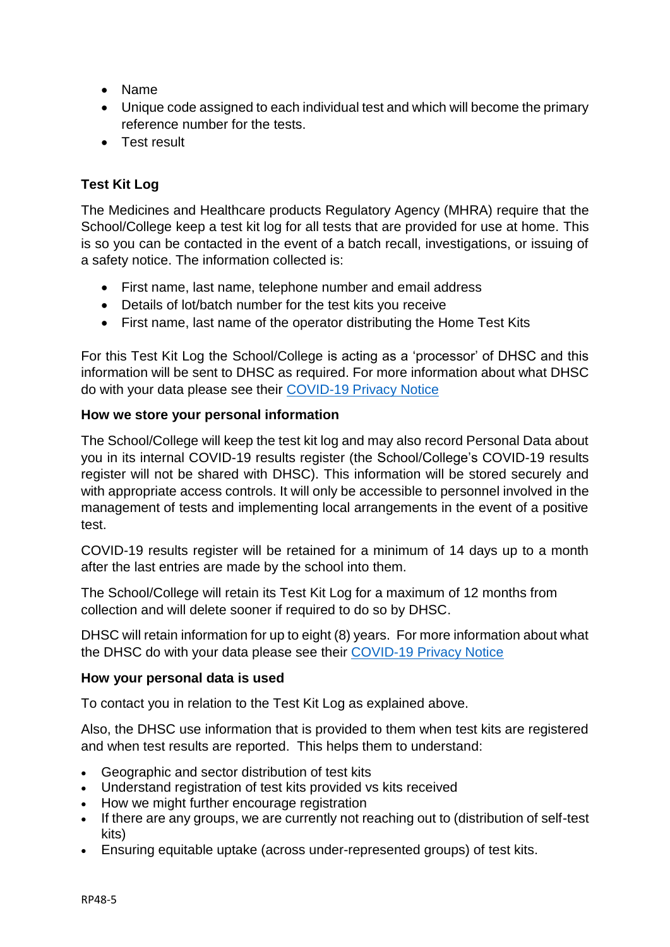- Name
- Unique code assigned to each individual test and which will become the primary reference number for the tests.
- Test result

# **Test Kit Log**

The Medicines and Healthcare products Regulatory Agency (MHRA) require that the School/College keep a test kit log for all tests that are provided for use at home. This is so you can be contacted in the event of a batch recall, investigations, or issuing of a safety notice. The information collected is:

- First name, last name, telephone number and email address
- Details of lot/batch number for the test kits you receive
- First name, last name of the operator distributing the Home Test Kits

For this Test Kit Log the School/College is acting as a 'processor' of DHSC and this information will be sent to DHSC as required. For more information about what DHSC do with your data please see their [COVID-19 Privacy Notice](https://www.gov.uk/government/publications/coronavirus-covid-19-testing-privacy-information)

# **How we store your personal information**

The School/College will keep the test kit log and may also record Personal Data about you in its internal COVID-19 results register (the School/College's COVID-19 results register will not be shared with DHSC). This information will be stored securely and with appropriate access controls. It will only be accessible to personnel involved in the management of tests and implementing local arrangements in the event of a positive test.

COVID-19 results register will be retained for a minimum of 14 days up to a month after the last entries are made by the school into them.

The School/College will retain its Test Kit Log for a maximum of 12 months from collection and will delete sooner if required to do so by DHSC.

DHSC will retain information for up to eight (8) years. For more information about what the DHSC do with your data please see their [COVID-19 Privacy Notice](https://www.gov.uk/government/publications/coronavirus-covid-19-testing-privacy-information)

# **How your personal data is used**

To contact you in relation to the Test Kit Log as explained above.

Also, the DHSC use information that is provided to them when test kits are registered and when test results are reported. This helps them to understand:

- Geographic and sector distribution of test kits
- Understand registration of test kits provided vs kits received
- How we might further encourage registration
- If there are any groups, we are currently not reaching out to (distribution of self-test kits)
- Ensuring equitable uptake (across under-represented groups) of test kits.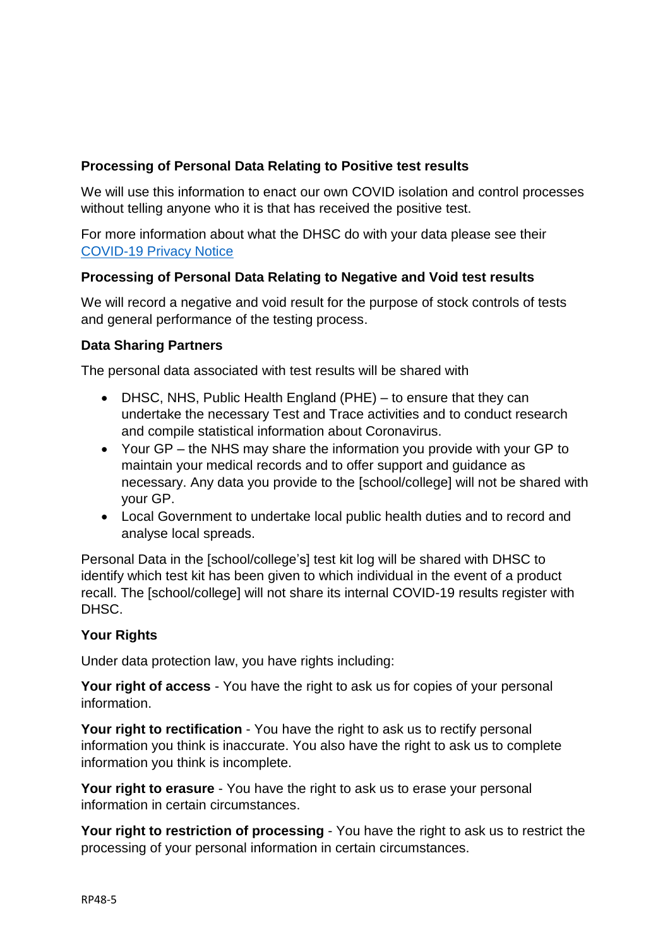# **Processing of Personal Data Relating to Positive test results**

We will use this information to enact our own COVID isolation and control processes without telling anyone who it is that has received the positive test.

For more information about what the DHSC do with your data please see their [COVID-19 Privacy Notice](https://www.gov.uk/government/publications/coronavirus-covid-19-testing-privacy-information)

### **Processing of Personal Data Relating to Negative and Void test results**

We will record a negative and void result for the purpose of stock controls of tests and general performance of the testing process.

### **Data Sharing Partners**

The personal data associated with test results will be shared with

- DHSC, NHS, Public Health England (PHE) to ensure that they can undertake the necessary Test and Trace activities and to conduct research and compile statistical information about Coronavirus.
- Your GP the NHS may share the information you provide with your GP to maintain your medical records and to offer support and guidance as necessary. Any data you provide to the [school/college] will not be shared with your GP.
- Local Government to undertake local public health duties and to record and analyse local spreads.

Personal Data in the [school/college's] test kit log will be shared with DHSC to identify which test kit has been given to which individual in the event of a product recall. The [school/college] will not share its internal COVID-19 results register with DHSC.

#### **Your Rights**

Under data protection law, you have rights including:

**Your right of access** - You have the right to ask us for copies of your personal information.

**Your right to rectification** - You have the right to ask us to rectify personal information you think is inaccurate. You also have the right to ask us to complete information you think is incomplete.

**Your right to erasure** - You have the right to ask us to erase your personal information in certain circumstances.

**Your right to restriction of processing** - You have the right to ask us to restrict the processing of your personal information in certain circumstances.